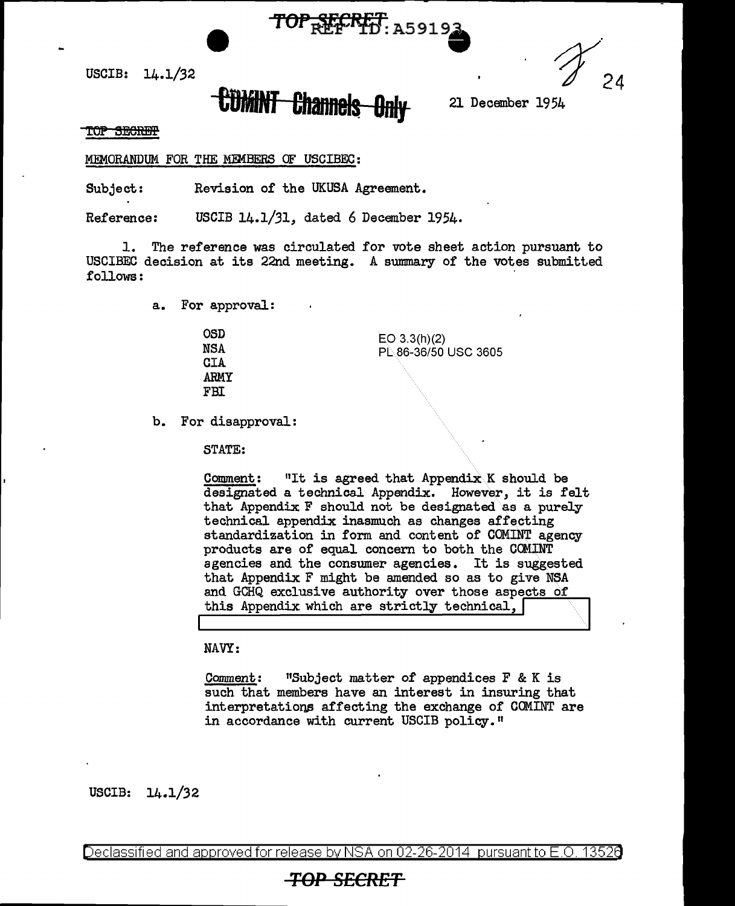USCIB:  $14.1/32$ 

## **CDMINT Channels Only** <sup>21 December 1954</sup>

TOP SECRET. A5919;

## TOP SECRET

MEMORANDUM FOR THE MEMBERS OF USCIBEC:

Subject: Revision of the UKUSA Agreement.

Reference: USCIB 14.1/31, dated 6 December 1954.

1. The reference was circulated for vote sheet action pursuant to USCIBEC decision at its 22nd meeting. A sunnnary of the votes submitted follows:

a. For approval:

| <b>OSD</b> | $EO$ 3.3(h)(2)       |
|------------|----------------------|
| NSA        | PL 86-36/50 USC 3605 |
| <b>CIA</b> |                      |
| ARMY       |                      |
| FBI        |                      |
|            |                      |

b. For disapproval:

STATE:

Comment: "It is agreed that Appendix K should be designated a technical Appendix. However, it is felt that Appendix  $F$  should not be designated as a purely technical appendix inasmuch as changes affecting standardization in form and content of COMINT agency products are of equal concern to both the CCMINT agencies and the consumer agencies. It is suggested that Appendix F might be amended so as to give NSA and GCHQ exclusive authority over those aspects of this Appendix which are strictly technical,

NAVY:

Comment: 11Subject matter of appendices F & K is such that members have an interest in insuring that interpretations affecting the exchange of COMINT are in accordance with current USCIB policy."

USCIB: 14.1/32

Declassified and approved for release by NSA on 02-26-2014 pursuant to E.O. 13526